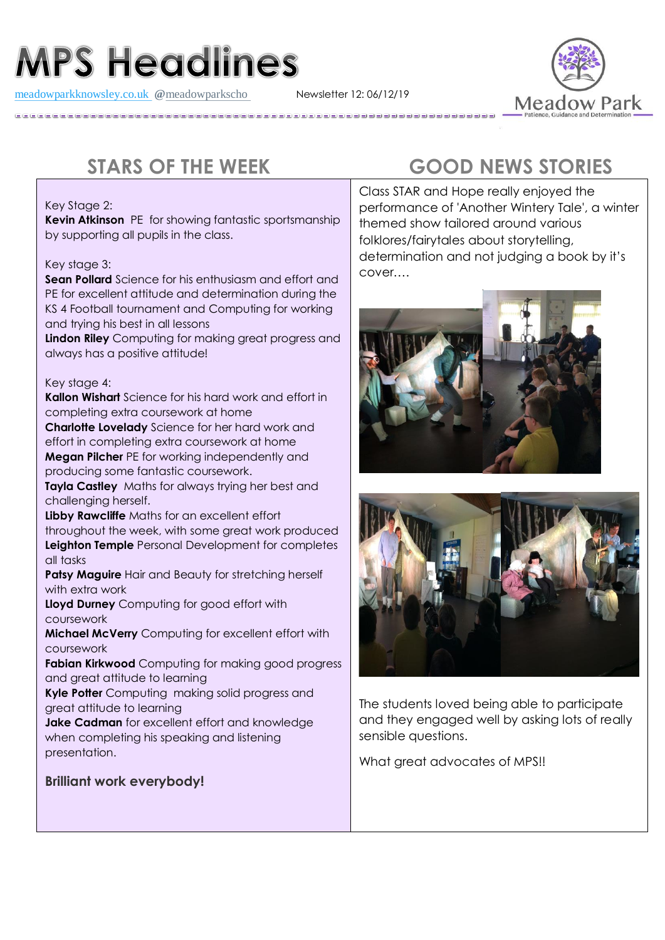# **MPS Headlines**

[meadowparkknowsley.co.uk](https://t.co/znDDto23ds) **@**[meadowparkscho](https://twitter.com/meadowparkscho) Newsletter 12: 06/12/19



#### Key Stage 2:

**Kevin Atkinson** PE for showing fantastic sportsmanship by supporting all pupils in the class.

#### Key stage 3:

**Sean Pollard** Science for his enthusiasm and effort and PE for excellent attitude and determination during the KS 4 Football tournament and Computing for working and trying his best in all lessons

**Lindon Riley** Computing for making great progress and always has a positive attitude!

#### Key stage 4:

**Kallon Wishart** Science for his hard work and effort in completing extra coursework at home

**Charlotte Lovelady** Science for her hard work and effort in completing extra coursework at home **Megan Pilcher** PE for working independently and producing some fantastic coursework.

**Tayla Castley** Maths for always trying her best and challenging herself.

**Libby Rawcliffe** Maths for an excellent effort throughout the week, with some great work produced **Leighton Temple** Personal Development for completes all tasks

**Patsy Maguire** Hair and Beauty for stretching herself with extra work

**Lloyd Durney** Computing for good effort with coursework

**Michael McVerry** Computing for excellent effort with coursework

**Fabian Kirkwood** Computing for making good progress and great attitude to learning

**Kyle Potter** Computing making solid progress and great attitude to learning

**Jake Cadman** for excellent effort and knowledge when completing his speaking and listening presentation.

### **Brilliant work everybody!**

## **STARS OF THE WEEK GOOD NEWS STORIES**

Class STAR and Hope really enjoyed the performance of 'Another Wintery Tale', a winter themed show tailored around various folklores/fairytales about storytelling, determination and not judging a book by it's cover….





The students loved being able to participate and they engaged well by asking lots of really sensible questions.

What great advocates of MPS!!